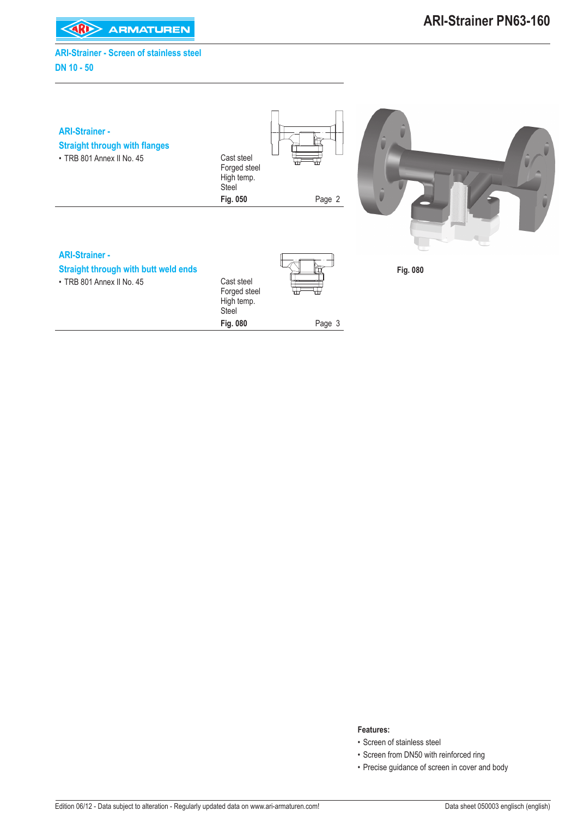**KARD** ARMATUREN

## **ARI-Strainer - Screen of stainless steel DN 10 - 50**

| <b>ARI-Strainer -</b><br><b>Straight through with flanges</b><br>• TRB 801 Annex II No. 45 | Cast steel<br>Forged steel<br>High temp.<br>Steel | ⊞<br>⊞ |          |
|--------------------------------------------------------------------------------------------|---------------------------------------------------|--------|----------|
|                                                                                            | Fig. 050                                          | Page 2 |          |
| <b>ARI-Strainer -</b>                                                                      |                                                   |        |          |
|                                                                                            |                                                   |        |          |
| <b>Straight through with butt weld ends</b><br>· TRB 801 Annex II No. 45                   | Cast steel<br>Forged steel<br>High temp.<br>Steel | ⊞<br>⊞ | Fig. 080 |
|                                                                                            | Fig. 080                                          | Page 3 |          |

#### **Features:**

- Screen of stainless steel
- Screen from DN50 with reinforced ring
- Precise guidance of screen in cover and body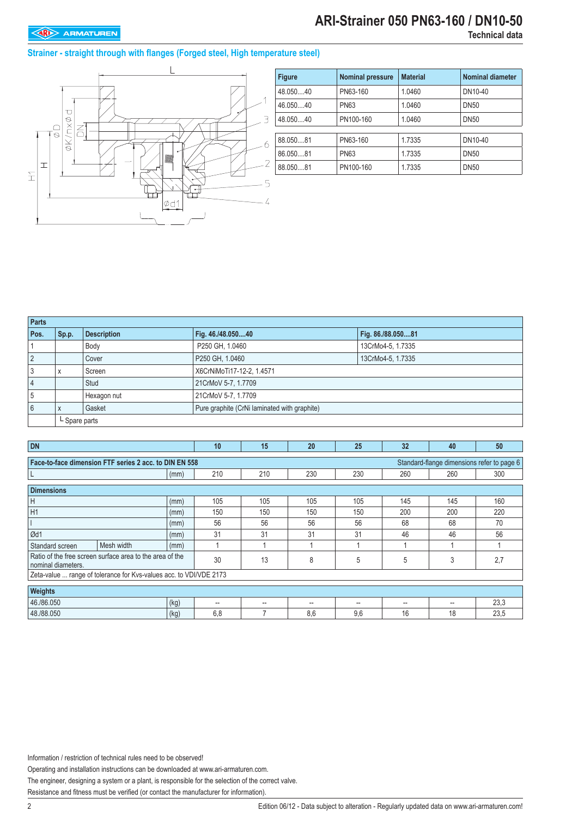## **ARI-Strainer 050 PN63-160 / DN10-50**

### **Strainer - straight through with flanges (Forged steel, High temperature steel)**



| <b>Figure</b> | <b>Nominal pressure</b> | <b>Material</b> | <b>Nominal diameter</b> |
|---------------|-------------------------|-----------------|-------------------------|
| 48.05040      | PN63-160                | 1.0460          | DN10-40                 |
| 46.05040      | <b>PN63</b>             | 1.0460          | <b>DN50</b>             |
| 48.05040      | PN100-160               | 1.0460          | <b>DN50</b>             |
|               |                         |                 |                         |
| 88.050.81     | PN63-160                | 1.7335          | DN10-40                 |
| 86.050.81     | <b>PN63</b>             | 1.7335          | <b>DN50</b>             |
| 88.05081      | PN100-160               | 1.7335          | <b>DN50</b>             |

| Parts          |                 |                    |                                              |                   |
|----------------|-----------------|--------------------|----------------------------------------------|-------------------|
| Pos.           | Sp.p.           | <b>Description</b> | Fig. 46./48.05040                            | Fig. 86./88.05081 |
|                |                 | Body               | P250 GH, 1.0460                              | 13CrMo4-5, 1.7335 |
| $\overline{2}$ |                 | Cover              | P250 GH, 1.0460                              | 13CrMo4-5, 1.7335 |
| 3              |                 | Screen             | X6CrNiMoTi17-12-2, 1.4571                    |                   |
| $\overline{4}$ |                 | Stud               | 21CrMoV 5-7, 1.7709                          |                   |
| 5              |                 | Hexagon nut        | 21CrMoV 5-7, 1.7709                          |                   |
| 6              |                 | Gasket             | Pure graphite (CrNi laminated with graphite) |                   |
|                | $L$ Spare parts |                    |                                              |                   |

| <b>DN</b>                                                                                            |                                                                    |      | 10                     | 15                       | 20                       | 25  | 32  | 40  | 50   |  |
|------------------------------------------------------------------------------------------------------|--------------------------------------------------------------------|------|------------------------|--------------------------|--------------------------|-----|-----|-----|------|--|
| Face-to-face dimension FTF series 2 acc. to DIN EN 558<br>Standard-flange dimensions refer to page 6 |                                                                    |      |                        |                          |                          |     |     |     |      |  |
|                                                                                                      |                                                                    | (mm) | 210                    | 210                      | 230                      | 230 | 260 | 260 | 300  |  |
| <b>Dimensions</b>                                                                                    |                                                                    |      |                        |                          |                          |     |     |     |      |  |
| Н                                                                                                    |                                                                    | (mm) | 105                    | 105                      | 105                      | 105 | 145 | 145 | 160  |  |
| H1                                                                                                   |                                                                    | (mm) | 150                    | 150                      | 150                      | 150 | 200 | 200 | 220  |  |
|                                                                                                      |                                                                    | (mm) | 56                     | 56                       | 56                       | 56  | 68  | 68  | 70   |  |
| Ød1                                                                                                  |                                                                    | (mm) | 31                     | 31                       | 31                       | 31  | 46  | 46  | 56   |  |
| Standard screen                                                                                      | Mesh width                                                         | (mm) |                        |                          |                          |     |     |     |      |  |
| nominal diameters.                                                                                   | Ratio of the free screen surface area to the area of the           |      | 30                     | 13                       | 8                        | 5   | 5   | 3   | 2,7  |  |
|                                                                                                      | Zeta-value  range of tolerance for Kvs-values acc. to VDI/VDE 2173 |      |                        |                          |                          |     |     |     |      |  |
| Weights                                                                                              |                                                                    |      |                        |                          |                          |     |     |     |      |  |
| 46./86.050                                                                                           |                                                                    | (kg) | $\qquad \qquad \cdots$ | $\overline{\phantom{a}}$ | $\overline{\phantom{a}}$ | --  | --  |     | 23,3 |  |
| 48./88.050                                                                                           |                                                                    | (kg) | 6,8                    |                          | 8,6                      | 9,6 | 16  | 18  | 23,5 |  |

Information / restriction of technical rules need to be observed!

Operating and installation instructions can be downloaded at www.ari-armaturen.com.

The engineer, designing a system or a plant, is responsible for the selection of the correct valve.

Resistance and fitness must be verified (or contact the manufacturer for information).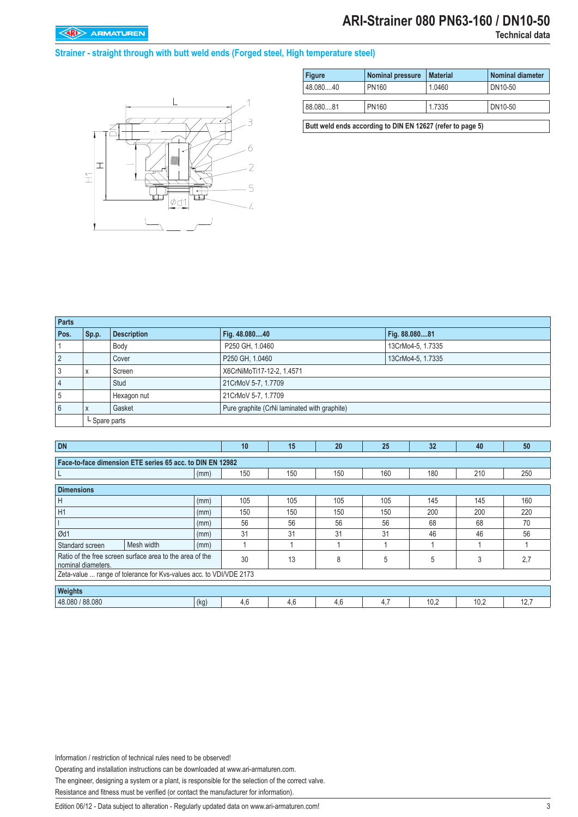## **ARI-Strainer 080 PN63-160 / DN10-50**

### **Strainer - straight through with butt weld ends (Forged steel, High temperature steel)**



| <b>Figure</b>                                              | <b>Nominal pressure</b> | <b>Material</b> | <b>Nominal diameter</b> |  |  |  |  |  |  |  |
|------------------------------------------------------------|-------------------------|-----------------|-------------------------|--|--|--|--|--|--|--|
| 48.08040                                                   | PN160                   | 1.0460          | DN10-50                 |  |  |  |  |  |  |  |
|                                                            |                         |                 |                         |  |  |  |  |  |  |  |
| 88.08081                                                   | PN160                   | 1.7335          | DN10-50                 |  |  |  |  |  |  |  |
|                                                            |                         |                 |                         |  |  |  |  |  |  |  |
| Butt weld ends according to DIN EN 12627 (refer to page 5) |                         |                 |                         |  |  |  |  |  |  |  |

| <b>Parts</b>   |                          |                    |                                              |                   |
|----------------|--------------------------|--------------------|----------------------------------------------|-------------------|
| Pos.           | Sp.p.                    | <b>Description</b> | Fig. 48.08040                                | Fig. 88.08081     |
|                |                          | Body               | P250 GH, 1.0460                              | 13CrMo4-5, 1.7335 |
| 2              |                          | Cover              | P250 GH, 1.0460                              | 13CrMo4-5, 1.7335 |
| 3              | $\overline{\phantom{a}}$ | Screen             | X6CrNiMoTi17-12-2, 1.4571                    |                   |
| $\overline{4}$ |                          | Stud               | 21CrMoV 5-7, 1.7709                          |                   |
| 5              |                          | Hexagon nut        | 21CrMoV 5-7, 1.7709                          |                   |
| 6              | $\overline{\mathbf{u}}$  | Gasket             | Pure graphite (CrNi laminated with graphite) |                   |
|                | L Spare parts            |                    |                                              |                   |

| DN                                                        | 10                                                                 | 15   | 20  | 25  | 32  | 40  | 50   |      |      |  |  |
|-----------------------------------------------------------|--------------------------------------------------------------------|------|-----|-----|-----|-----|------|------|------|--|--|
|                                                           |                                                                    |      |     |     |     |     |      |      |      |  |  |
| Face-to-face dimension ETE series 65 acc. to DIN EN 12982 |                                                                    |      |     |     |     |     |      |      |      |  |  |
| └                                                         |                                                                    | (mm) | 150 | 150 | 150 | 160 | 180  | 210  | 250  |  |  |
|                                                           |                                                                    |      |     |     |     |     |      |      |      |  |  |
| <b>Dimensions</b>                                         |                                                                    |      |     |     |     |     |      |      |      |  |  |
| H                                                         |                                                                    | (mm) | 105 | 105 | 105 | 105 | 145  | 145  | 160  |  |  |
| H1                                                        |                                                                    | (mm) | 150 | 150 | 150 | 150 | 200  | 200  | 220  |  |  |
| (mm)                                                      |                                                                    |      | 56  | 56  | 56  | 56  | 68   | 68   | 70   |  |  |
| Ød1                                                       |                                                                    | (mm) | 31  | 31  | 31  | 31  | 46   | 46   | 56   |  |  |
| Standard screen                                           | Mesh width                                                         | (mm) |     |     |     |     |      |      |      |  |  |
| nominal diameters.                                        | Ratio of the free screen surface area to the area of the           |      | 30  | 13  | 8   | 5   | 5    | 3    | 2,7  |  |  |
|                                                           | Zeta-value  range of tolerance for Kys-values acc. to VDI/VDE 2173 |      |     |     |     |     |      |      |      |  |  |
|                                                           |                                                                    |      |     |     |     |     |      |      |      |  |  |
| Weights                                                   |                                                                    |      |     |     |     |     |      |      |      |  |  |
| 48.080 / 88.080                                           |                                                                    | (kg) | 4,6 | 4,6 | 4.6 | 4,7 | 10,2 | 10,2 | 12,7 |  |  |

Information / restriction of technical rules need to be observed!

Operating and installation instructions can be downloaded at www.ari-armaturen.com.

The engineer, designing a system or a plant, is responsible for the selection of the correct valve.

Resistance and fitness must be verified (or contact the manufacturer for information).

Edition 06/12 - Data subject to alteration - Regularly updated data on www.ari-armaturen.com!<br>3